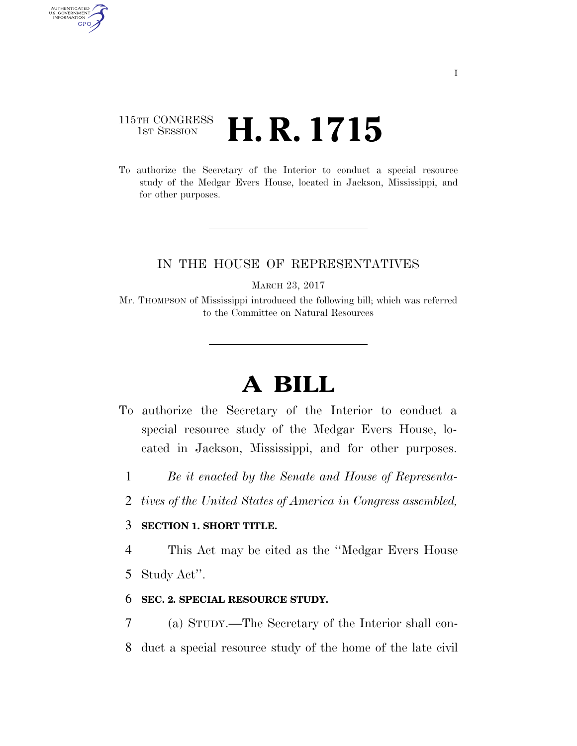## 115TH CONGRESS <sup>TH CONGRESS</sup> **H. R. 1715**

AUTHENTICATED<br>U.S. GOVERNMENT<br>INFORMATION **GPO** 

> To authorize the Secretary of the Interior to conduct a special resource study of the Medgar Evers House, located in Jackson, Mississippi, and for other purposes.

### IN THE HOUSE OF REPRESENTATIVES

MARCH 23, 2017

Mr. THOMPSON of Mississippi introduced the following bill; which was referred to the Committee on Natural Resources

# **A BILL**

- To authorize the Secretary of the Interior to conduct a special resource study of the Medgar Evers House, located in Jackson, Mississippi, and for other purposes.
	- 1 *Be it enacted by the Senate and House of Representa-*
	- 2 *tives of the United States of America in Congress assembled,*

### 3 **SECTION 1. SHORT TITLE.**

4 This Act may be cited as the ''Medgar Evers House

5 Study Act''.

#### 6 **SEC. 2. SPECIAL RESOURCE STUDY.**

7 (a) STUDY.—The Secretary of the Interior shall con-8 duct a special resource study of the home of the late civil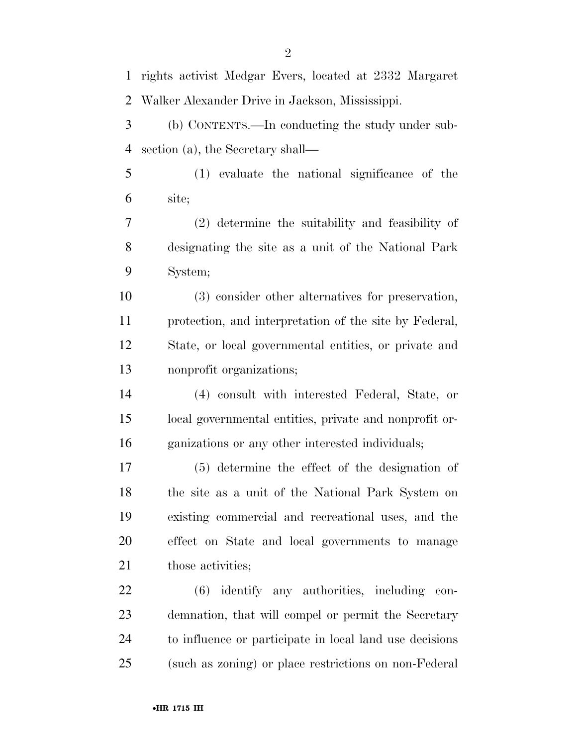rights activist Medgar Evers, located at 2332 Margaret Walker Alexander Drive in Jackson, Mississippi. (b) CONTENTS.—In conducting the study under sub- section (a), the Secretary shall— (1) evaluate the national significance of the site; (2) determine the suitability and feasibility of designating the site as a unit of the National Park System; (3) consider other alternatives for preservation, protection, and interpretation of the site by Federal, State, or local governmental entities, or private and nonprofit organizations; (4) consult with interested Federal, State, or local governmental entities, private and nonprofit or- ganizations or any other interested individuals; (5) determine the effect of the designation of the site as a unit of the National Park System on existing commercial and recreational uses, and the effect on State and local governments to manage 21 those activities; (6) identify any authorities, including con- demnation, that will compel or permit the Secretary to influence or participate in local land use decisions (such as zoning) or place restrictions on non-Federal